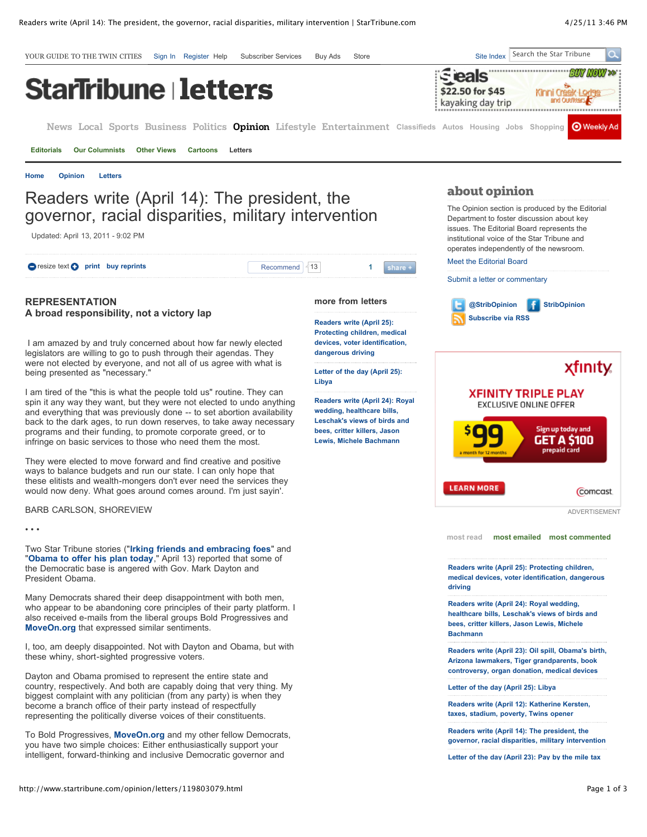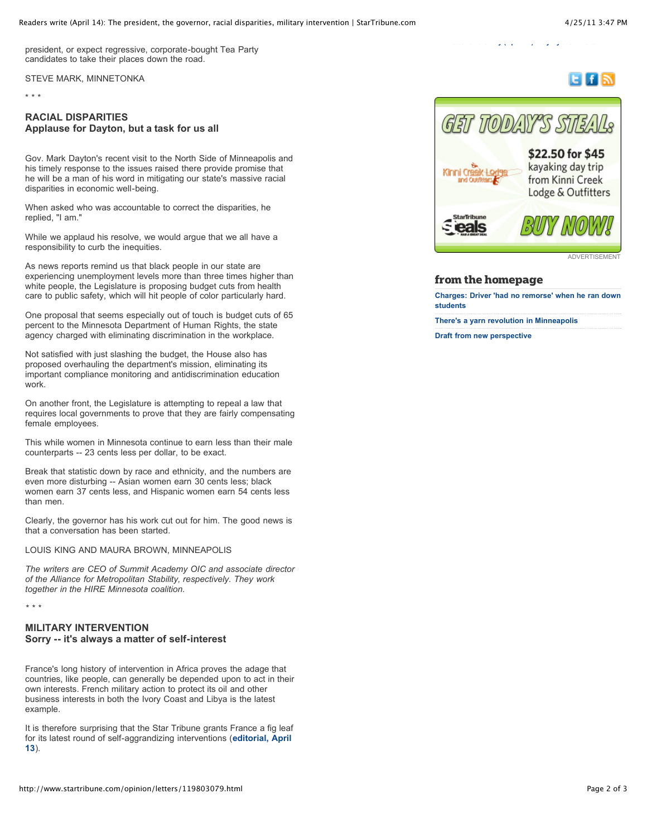ELfIN

president, or expect regressive, corporate-bought Tea Party candidates to take their places down the road.

STEVE MARK, MINNETONKA

\* \* \*

## **RACIAL DISPARITIES Applause for Dayton, but a task for us all**

Gov. Mark Dayton's recent visit to the North Side of Minneapolis and his timely response to the issues raised there provide promise that he will be a man of his word in mitigating our state's massive racial disparities in economic well-being.

When asked who was accountable to correct the disparities, he replied, "I am."

While we applaud his resolve, we would argue that we all have a responsibility to curb the inequities.

As news reports remind us that black people in our state are experiencing unemployment levels more than three times higher than white people, the Legislature is proposing budget cuts from health care to public safety, which will hit people of color particularly hard.

One proposal that seems especially out of touch is budget cuts of 65 percent to the Minnesota Department of Human Rights, the state agency charged with eliminating discrimination in the workplace.

Not satisfied with just slashing the budget, the House also has proposed overhauling the department's mission, eliminating its important compliance monitoring and antidiscrimination education work.

On another front, the Legislature is attempting to repeal a law that requires local governments to prove that they are fairly compensating female employees.

This while women in Minnesota continue to earn less than their male counterparts -- 23 cents less per dollar, to be exact.

Break that statistic down by race and ethnicity, and the numbers are even more disturbing -- Asian women earn 30 cents less; black women earn 37 cents less, and Hispanic women earn 54 cents less than men.

Clearly, the governor has his work cut out for him. The good news is that a conversation has been started.

LOUIS KING AND MAURA BROWN, MINNEAPOLIS

*The writers are CEO of Summit Academy OIC and associate director of the Alliance for Metropolitan Stability, respectively. They work together in the HIRE Minnesota coalition.*

*\* \* \**

## **MILITARY INTERVENTION Sorry -- it's always a matter of self-interest**

France's long history of intervention in Africa proves the adage that countries, like people, can generally be depended upon to act in their own interests. French military action to protect its oil and other business interests in both the Ivory Coast and Libya is the latest example.

It is therefore surprising that the Star Tribune grants France a fig leaf [for its latest round of self-aggrandizing interventions \(](http://www.startribune.com/opinion/editorials/119635069.html)**editorial, April 13**).



**[Letter of the day \(April 23\): Pay by the mile tax](http://www.startribune.com/opinion/letters/120510364.html)**

kayaking day trip from Kinni Creek Lodge & Outfitters



**ADVERTISEMENT** 

## **from the homepage**

**[Charges: Driver 'had no remorse' when he ran down](http://www.startribune.com/local/minneapolis/120634034.html) students**

**[There's a yarn revolution in Minneapolis](http://www.vita.mn/story.php?id=120316959)**

**[Draft from new perspective](http://www.startribune.com/sports/vikings/120575219.html)**